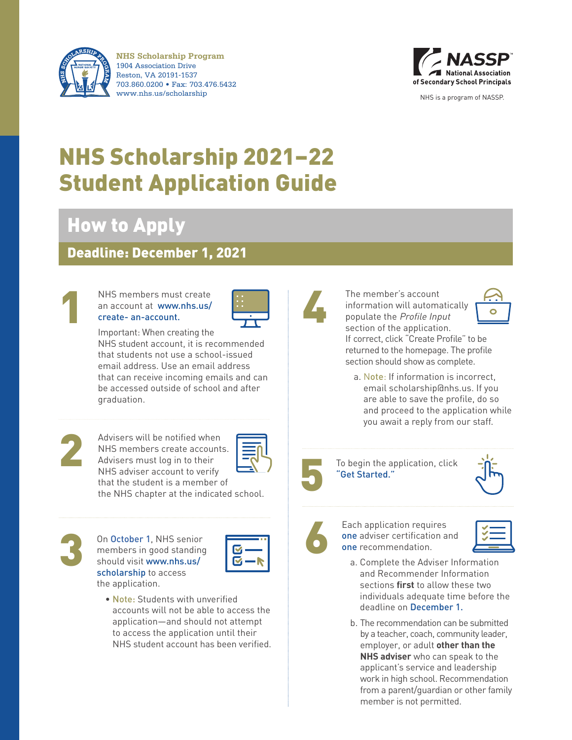

**NHS Scholarship Program** 1904 Association Drive Reston, VA 20191-1537 703.860.0200 • Fax: 703.476.5432 www.nhs.us/scholarship NHS is a program of NASSP.



# NHS Scholarship 2021–22 Student Application Guide

## How to Apply

## Deadline: December 1, 2021



## NHS members must create<br>an account at www.nhs.us/<br>create- an-account. an account at [www.nhs.us/](https://www.nhs.us/create-an-account/) [create- an-account.](https://www.nhs.us/create-an-account/)



Important: When creating the NHS student account, it is recommended that students not use a school-issued

email address. Use an email address that can receive incoming emails and can be accessed outside of school and after graduation.



Advisers will be notified when<br>
NHS members create accounts.<br>
Advisers must log in to their<br>
NHS adviser account to verify<br>
that the student is a member of<br>
the NHS chapter at the indicated school. Advisers will be notified when NHS members create accounts. Advisers must log in to their NHS adviser account to verify that the student is a member of the NHS chapter at the indicated school.



On October 1, NHS senior<br>
members in good standing<br>
should visit www.nhs.us/<br>
scholarship to access On October 1, NHS senior members in good standing should visit [www.nhs.us/](https://www.nhs.us/advisers/the-nhs-scholarship/) [scholarship](https://www.nhs.us/advisers/the-nhs-scholarship/) to access the application.



• Note: Students with unverified accounts will not be able to access the application—and should not attempt to access the application until their NHS student account has been verified.



The member's account information will automatically populate the Profile Input



section of the application. If correct, click "Create Profile" to be returned to the homepage. The profile section should show as complete.

a. Note: If information is incorrect, email scholarship@nhs.us. If you are able to save the profile, do so and proceed to the application while you await a reply from our staff.



To begin the application, click "Get Started."



Each application requires one adviser certification and one recommendation.

- a. Complete the Adviser Information and Recommender Information sections **first** to allow these two individuals adequate time before the deadline on December 1.
- b. The recommendation can be submitted by a teacher, coach, community leader, employer, or adult **other than the NHS adviser** who can speak to the applicant's service and leadership work in high school. Recommendation from a parent/guardian or other family member is not permitted.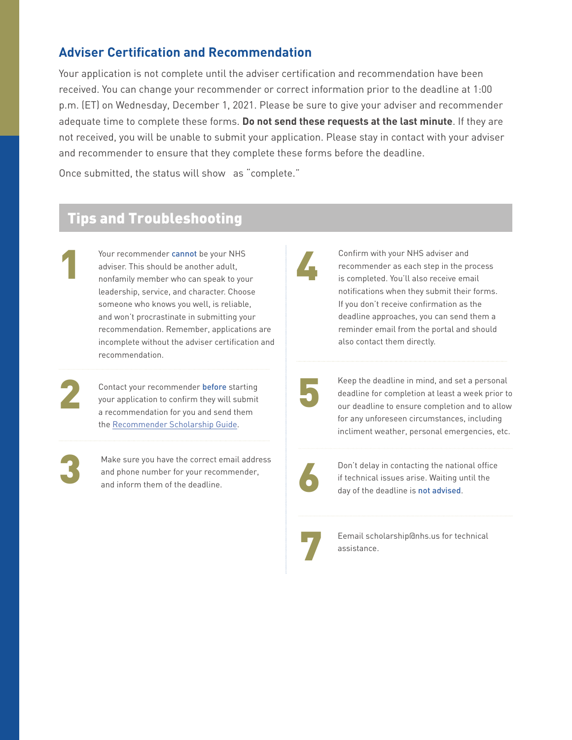### **Adviser Certification and Recommendation**

Your application is not complete until the adviser certification and recommendation have been received. You can change your recommender or correct information prior to the deadline at 1:00 p.m. (ET) on Wednesday, December 1, 2021. Please be sure to give your adviser and recommender adequate time to complete these forms. **Do not send these requests at the last minute**. If they are not received, you will be unable to submit your application. Please stay in contact with your adviser and recommender to ensure that they complete these forms before the deadline.

Once submitted, the status will show as "complete."

## Tips and Troubleshooting

Your recommender cannot be your NHS<br>adviser. This should be another adult,<br>nonfamily member who can speak to your adviser. This should be another adult, leadership, service, and character. Choose someone who knows you well, is reliable, and won't procrastinate in submitting your recommendation. Remember, applications are incomplete without the adviser certification and recommendation.

1

Contact your recommender before starting<br>your application to confirm they will submit<br>a recommendation for you and send them Contact your recommender before starting your application to confirm they will submit a recommendation for you and send them the [Recommender Scholarship Guide.](https://www.nhs.us/wp-content/uploads/2021/09/NASSP20NHSNJHS-0012_NHS-Scholarship_Guide-Updates_Scholarship-Guide_P1b_GTD.pdf)

Make sure you have the correct email address<br>and phone number for your recommender,<br>and inform them of the deadline. Make sure you have the correct email address and phone number for your recommender, and inform them of the deadline.

Confirm with your NHS adviser and recommender as each step in the process is completed. You'll also receive email notifications when they submit their forms. If you don't receive confirmation as the deadline approaches, you can send them a reminder email from the portal and should also contact them directly.

Keep the deadline in mind, and set a personal deadline for completion at least a week prior to our deadline to ensure completion and to allow for any unforeseen circumstances, including incliment weather, personal emergencies, etc.



Don't delay in contacting the national office if technical issues arise. Waiting until the day of the deadline is not advised.



Eemail scholarship@nhs.us for technical assistance.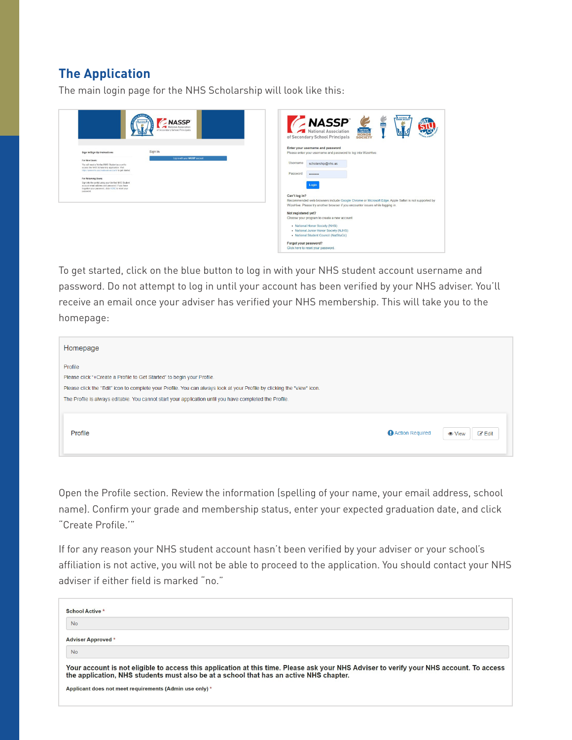## **The Application**

The main login page for the NHS Scholarship will look like this:

| <b>NASSP</b><br>of Secondary School Principal                                                                                                                                                                                                                                                                                                                                                                                                                | HONGH SOCIETY<br><b>NASSP</b><br>E<br>NATIONAL<br>ELEMENTARY<br>National Association<br><b>HONOR</b><br>of Secondary School Principals<br><b>SOCIETY</b>                                                                                                                                                                                                                                                                                                                                                                                                                |
|--------------------------------------------------------------------------------------------------------------------------------------------------------------------------------------------------------------------------------------------------------------------------------------------------------------------------------------------------------------------------------------------------------------------------------------------------------------|-------------------------------------------------------------------------------------------------------------------------------------------------------------------------------------------------------------------------------------------------------------------------------------------------------------------------------------------------------------------------------------------------------------------------------------------------------------------------------------------------------------------------------------------------------------------------|
| Sign In<br>Sign In/Sign Up Instructions<br>Los in with your NASSP account<br>For New Users:<br>You will need a Verified NHS Student account to<br>access the NHS Scholarship application. Visit<br>https://www.nhs.us/create-an-account/ to get started.<br>For Returning Users:<br>Sign into the portal using your Verified NHS Student<br>account email address and password. If you have<br>forgotten your password, click HERE to reset your<br>password | Enter your username and password<br>Please enter your username and password to log into WizeHive.<br><b>Usemame</b><br>scholarship@nhs.us<br>Password<br><br>Login<br>Can't log in?<br>Recommended web browsers include Google Chrome or Microsoft Edge. Apple Safari is not supported by<br>WizeHive. Please try another browser if you encounter issues while logging in.<br>Not registered yet?<br>Choose your program to create a new account.<br>• National Honor Society (NHS)<br>• National Junior Honor Society (NJHS)<br>• National Student Council (NatStuCo) |
|                                                                                                                                                                                                                                                                                                                                                                                                                                                              | Forgot your password?<br>Click here to reset your password.                                                                                                                                                                                                                                                                                                                                                                                                                                                                                                             |

To get started, click on the blue button to log in with your NHS student account username and password. Do not attempt to log in until your account has been verified by your NHS adviser. You'll receive an email once your adviser has verified your NHS membership. This will take you to the homepage:

| Homepage                                                                                                                |                 |                           |
|-------------------------------------------------------------------------------------------------------------------------|-----------------|---------------------------|
| Profile                                                                                                                 |                 |                           |
| Please click "+Create a Profile to Get Started" to begin your Profile.                                                  |                 |                           |
| Please click the "Edit" icon to complete your Profile. You can always look at your Profile by clicking the "view" icon. |                 |                           |
| The Profile is always editable. You cannot start your application until you have completed the Profile.                 |                 |                           |
|                                                                                                                         |                 |                           |
| Profile                                                                                                                 | Action Required | $C$ Edit<br><b>⊙</b> View |

Open the Profile section. Review the information (spelling of your name, your email address, school name). Confirm your grade and membership status, enter your expected graduation date, and click "Create Profile.'"

If for any reason your NHS student account hasn't been verified by your adviser or your school's affiliation is not active, you will not be able to proceed to the application. You should contact your NHS adviser if either field is marked "no."

| School Active *                                                                                                                                                                                                                   |
|-----------------------------------------------------------------------------------------------------------------------------------------------------------------------------------------------------------------------------------|
| <b>No</b>                                                                                                                                                                                                                         |
| <b>Adviser Approved *</b>                                                                                                                                                                                                         |
| <b>No</b>                                                                                                                                                                                                                         |
| Your account is not eligible to access this application at this time. Please ask your NHS Adviser to verify your NHS account. To access<br>the application, NHS students must also be at a school that has an active NHS chapter. |
| Applicant does not meet requirements (Admin use only) *                                                                                                                                                                           |
|                                                                                                                                                                                                                                   |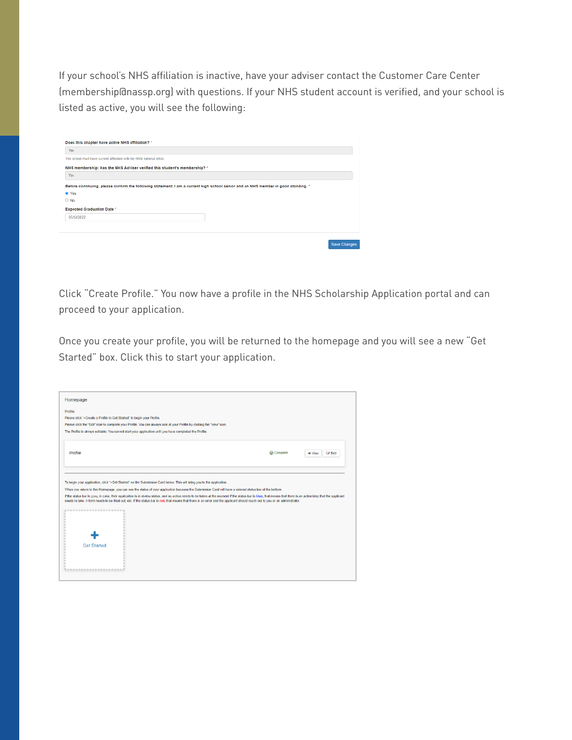If your school's NHS affiliation is inactive, have your adviser contact the Customer Care Center (membership@nassp.org) with questions. If your NHS student account is verified, and your school is listed as active, you will see the following:

| Yes.                                                                   |                                                                                                                                    |  |
|------------------------------------------------------------------------|------------------------------------------------------------------------------------------------------------------------------------|--|
| The school must have current affiliation with the NHS national office. |                                                                                                                                    |  |
|                                                                        | NHS membership: Has the NHS Adviser verified this student's membership? ^                                                          |  |
| Yes                                                                    |                                                                                                                                    |  |
|                                                                        | Before continuing, please confirm the following statement: I am a current high school senior and an NHS member in good standing. " |  |
|                                                                        |                                                                                                                                    |  |
|                                                                        |                                                                                                                                    |  |
|                                                                        |                                                                                                                                    |  |
| ® Yes<br>$\bigcirc$ No<br><b>Expected Graduation Date '</b>            |                                                                                                                                    |  |
| 05/12/2022                                                             |                                                                                                                                    |  |
|                                                                        |                                                                                                                                    |  |

Click "Create Profile." You now have a profile in the NHS Scholarship Application portal and can proceed to your application.

Once you create your profile, you will be returned to the homepage and you will see a new "Get Started" box. Click this to start your application.

| Homepage                                                               |                                                                                                                                                                                                                                                                                                                                                                                                   |                   |                               |
|------------------------------------------------------------------------|---------------------------------------------------------------------------------------------------------------------------------------------------------------------------------------------------------------------------------------------------------------------------------------------------------------------------------------------------------------------------------------------------|-------------------|-------------------------------|
| Profile                                                                |                                                                                                                                                                                                                                                                                                                                                                                                   |                   |                               |
| Please click "+Create a Profile to Get Started" to begin your Profile. |                                                                                                                                                                                                                                                                                                                                                                                                   |                   |                               |
|                                                                        | Please click the "Edit" icon to complete your Profile. You can always look at your Profile by clicking the "view" icon.                                                                                                                                                                                                                                                                           |                   |                               |
|                                                                        | The Profile is always editable. You cannot start your application until you have completed the Profile.                                                                                                                                                                                                                                                                                           |                   |                               |
|                                                                        |                                                                                                                                                                                                                                                                                                                                                                                                   |                   |                               |
| Profile                                                                |                                                                                                                                                                                                                                                                                                                                                                                                   | <b>⊙</b> Complete | <b>Edit</b><br><b>Co</b> View |
|                                                                        |                                                                                                                                                                                                                                                                                                                                                                                                   |                   |                               |
|                                                                        | To begin your application, click "+Get Started" on the Submission Card below. This will bring you to the application.<br>When you return to this Homepage, you can see the status of your application because the Submission Card will have a colored status bar at the bottom.                                                                                                                   |                   |                               |
|                                                                        | If the status bar is gray, in color, their application is in review status, and no action needs to be taken at the moment. If the status bar is blue, that means that there is an action/step that the applicant<br>needs to take. A form needs to be filled out, etc. If the status bar is red, that means that there is an error and the applicant should reach out to you or an administrator. |                   |                               |
|                                                                        |                                                                                                                                                                                                                                                                                                                                                                                                   |                   |                               |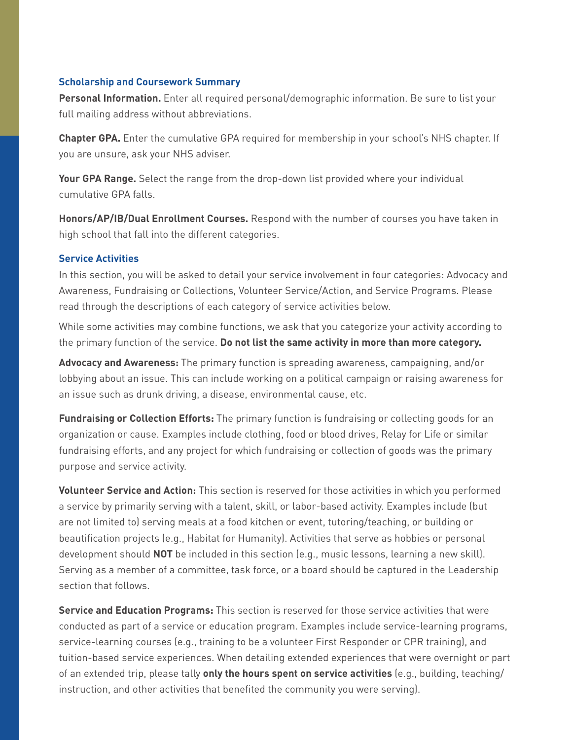#### **Scholarship and Coursework Summary**

**Personal Information.** Enter all required personal/demographic information. Be sure to list your full mailing address without abbreviations.

**Chapter GPA.** Enter the cumulative GPA required for membership in your school's NHS chapter. If you are unsure, ask your NHS adviser.

**Your GPA Range.** Select the range from the drop-down list provided where your individual cumulative GPA falls.

**Honors/AP/IB/Dual Enrollment Courses.** Respond with the number of courses you have taken in high school that fall into the different categories.

#### **Service Activities**

In this section, you will be asked to detail your service involvement in four categories: Advocacy and Awareness, Fundraising or Collections, Volunteer Service/Action, and Service Programs. Please read through the descriptions of each category of service activities below.

While some activities may combine functions, we ask that you categorize your activity according to the primary function of the service. **Do not list the same activity in more than more category.**

**Advocacy and Awareness:** The primary function is spreading awareness, campaigning, and/or lobbying about an issue. This can include working on a political campaign or raising awareness for an issue such as drunk driving, a disease, environmental cause, etc.

**Fundraising or Collection Efforts:** The primary function is fundraising or collecting goods for an organization or cause. Examples include clothing, food or blood drives, Relay for Life or similar fundraising efforts, and any project for which fundraising or collection of goods was the primary purpose and service activity.

**Volunteer Service and Action:** This section is reserved for those activities in which you performed a service by primarily serving with a talent, skill, or labor-based activity. Examples include (but are not limited to) serving meals at a food kitchen or event, tutoring/teaching, or building or beautification projects (e.g., Habitat for Humanity). Activities that serve as hobbies or personal development should **NOT** be included in this section (e.g., music lessons, learning a new skill). Serving as a member of a committee, task force, or a board should be captured in the Leadership section that follows.

**Service and Education Programs:** This section is reserved for those service activities that were conducted as part of a service or education program. Examples include service-learning programs, service-learning courses (e.g., training to be a volunteer First Responder or CPR training), and tuition-based service experiences. When detailing extended experiences that were overnight or part of an extended trip, please tally **only the hours spent on service activities** (e.g., building, teaching/ instruction, and other activities that benefited the community you were serving).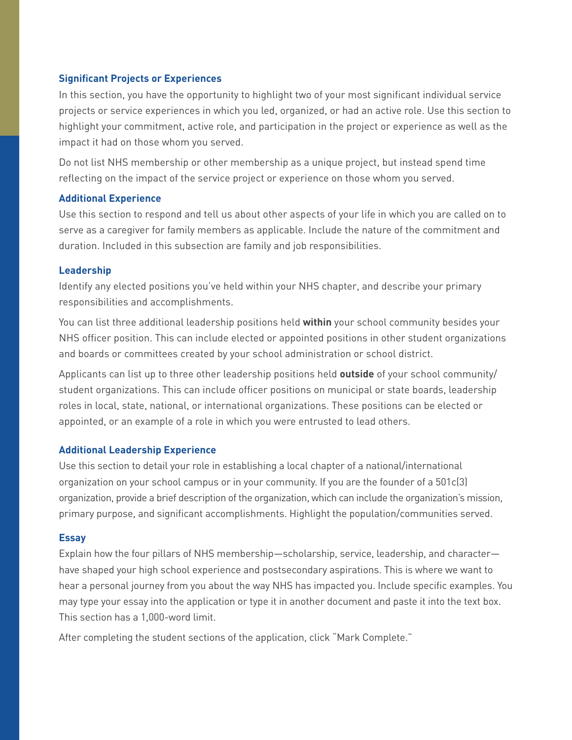#### **Significant Projects or Experiences**

In this section, you have the opportunity to highlight two of your most significant individual service projects or service experiences in which you led, organized, or had an active role. Use this section to highlight your commitment, active role, and participation in the project or experience as well as the impact it had on those whom you served.

Do not list NHS membership or other membership as a unique project, but instead spend time reflecting on the impact of the service project or experience on those whom you served.

#### **Additional Experience**

Use this section to respond and tell us about other aspects of your life in which you are called on to serve as a caregiver for family members as applicable. Include the nature of the commitment and duration. Included in this subsection are family and job responsibilities.

#### **Leadership**

Identify any elected positions you've held within your NHS chapter, and describe your primary responsibilities and accomplishments.

You can list three additional leadership positions held **within** your school community besides your NHS officer position. This can include elected or appointed positions in other student organizations and boards or committees created by your school administration or school district.

Applicants can list up to three other leadership positions held **outside** of your school community/ student organizations. This can include officer positions on municipal or state boards, leadership roles in local, state, national, or international organizations. These positions can be elected or appointed, or an example of a role in which you were entrusted to lead others.

#### **Additional Leadership Experience**

Use this section to detail your role in establishing a local chapter of a national/international organization on your school campus or in your community. If you are the founder of a 501c(3) organization, provide a brief description of the organization, which can include the organization's mission, primary purpose, and significant accomplishments. Highlight the population/communities served.

#### **Essay**

Explain how the four pillars of NHS membership—scholarship, service, leadership, and character have shaped your high school experience and postsecondary aspirations. This is where we want to hear a personal journey from you about the way NHS has impacted you. Include specific examples. You may type your essay into the application or type it in another document and paste it into the text box. This section has a 1,000-word limit.

After completing the student sections of the application, click "Mark Complete."